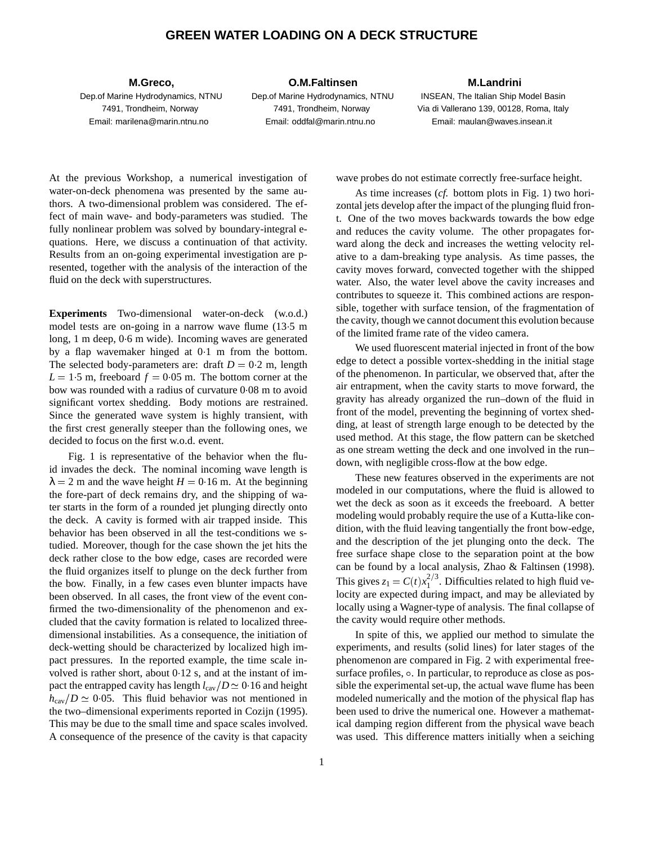## **GREEN WATER LOADING ON A DECK STRUCTURE**

**M.Greco,**

Dep.of Marine Hydrodynamics, NTNU 7491, Trondheim, Norway Email: marilena@marin.ntnu.no

## **O.M.Faltinsen**

Dep.of Marine Hydrodynamics, NTNU 7491, Trondheim, Norway Email: oddfal@marin.ntnu.no

## **M.Landrini**

INSEAN, The Italian Ship Model Basin Via di Vallerano 139, 00128, Roma, Italy Email: maulan@waves.insean.it

At the previous Workshop, a numerical investigation of water-on-deck phenomena was presented by the same authors. A two-dimensional problem was considered. The effect of main wave- and body-parameters was studied. The fully nonlinear problem was solved by boundary-integral equations. Here, we discuss a continuation of that activity. Results from an on-going experimental investigation are presented, together with the analysis of the interaction of the fluid on the deck with superstructures.

**Experiments** Two-dimensional water-on-deck (w.o.d.) model tests are on-going in a narrow wave flume (135 m long, 1 m deep, 0 6 m wide). Incoming waves are generated by a flap wavemaker hinged at 01 m from the bottom. The selected body-parameters are: draft  $D = 0.2$  m, length  $L = 15$  m, freeboard  $f = 0.05$  m. The bottom corner at the bow was rounded with a radius of curvature 0.08 m to avoid significant vortex shedding. Body motions are restrained. Since the generated wave system is highly transient, with the first crest generally steeper than the following ones, we decided to focus on the first w.o.d. event.

Fig. 1 is representative of the behavior when the fluid invades the deck. The nominal incoming wave length is  $\lambda = 2$  m and the wave height *H* = 0.16 m. At the beginning the fore-part of deck remains dry, and the shipping of water starts in the form of a rounded jet plunging directly onto the deck. A cavity is formed with air trapped inside. This behavior has been observed in all the test-conditions we studied. Moreover, though for the case shown the jet hits the deck rather close to the bow edge, cases are recorded were the fluid organizes itself to plunge on the deck further from the bow. Finally, in a few cases even blunter impacts have been observed. In all cases, the front view of the event confirmed the two-dimensionality of the phenomenon and excluded that the cavity formation is related to localized threedimensional instabilities. As a consequence, the initiation of deck-wetting should be characterized by localized high impact pressures. In the reported example, the time scale involved is rather short, about 012 s, and at the instant of impact the entrapped cavity has length  $l_{\rm cav}/D \simeq 0.16$  and height  $h_{\text{cav}}/D \simeq 0.05$ . This fluid behavior was not mentioned in the two–dimensional experiments reported in Cozijn (1995). This may be due to the small time and space scales involved. A consequence of the presence of the cavity is that capacity

wave probes do not estimate correctly free-surface height.

As time increases (*cf.* bottom plots in Fig. 1) two horizontal jets develop after the impact of the plunging fluid front. One of the two moves backwards towards the bow edge and reduces the cavity volume. The other propagates forward along the deck and increases the wetting velocity relative to a dam-breaking type analysis. As time passes, the cavity moves forward, convected together with the shipped water. Also, the water level above the cavity increases and contributes to squeeze it. This combined actions are responsible, together with surface tension, of the fragmentation of the cavity, though we cannot document this evolution because of the limited frame rate of the video camera.

We used fluorescent material injected in front of the bow edge to detect a possible vortex-shedding in the initial stage of the phenomenon. In particular, we observed that, after the air entrapment, when the cavity starts to move forward, the gravity has already organized the run–down of the fluid in front of the model, preventing the beginning of vortex shedding, at least of strength large enough to be detected by the used method. At this stage, the flow pattern can be sketched as one stream wetting the deck and one involved in the run– down, with negligible cross-flow at the bow edge.

These new features observed in the experiments are not modeled in our computations, where the fluid is allowed to wet the deck as soon as it exceeds the freeboard. A better modeling would probably require the use of a Kutta-like condition, with the fluid leaving tangentially the front bow-edge, and the description of the jet plunging onto the deck. The free surface shape close to the separation point at the bow can be found by a local analysis, Zhao & Faltinsen (1998). This gives  $z_1 = C(t)x_1^{2/3}$ . Difficulties related to high fluid velocity are expected during impact, and may be alleviated by locally using a Wagner-type of analysis. The final collapse of the cavity would require other methods.

In spite of this, we applied our method to simulate the experiments, and results (solid lines) for later stages of the phenomenon are compared in Fig. 2 with experimental freesurface profiles,  $\circ$ . In particular, to reproduce as close as possible the experimental set-up, the actual wave flume has been modeled numerically and the motion of the physical flap has been used to drive the numerical one. However a mathematical damping region different from the physical wave beach was used. This difference matters initially when a seiching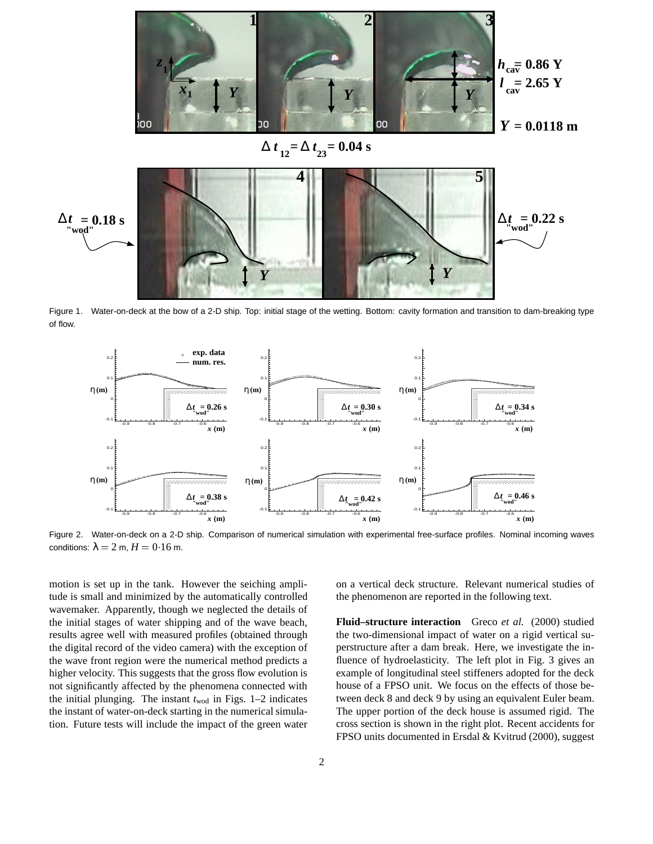

Figure 1. Water-on-deck at the bow of a 2-D ship. Top: initial stage of the wetting. Bottom: cavity formation and transition to dam-breaking type of flow.



Figure 2. Water-on-deck on a 2-D ship. Comparison of numerical simulation with experimental free-surface profiles. Nominal incoming waves conditions:  $\lambda = 2$  m,  $H = 0.16$  m.

motion is set up in the tank. However the seiching amplitude is small and minimized by the automatically controlled wavemaker. Apparently, though we neglected the details of the initial stages of water shipping and of the wave beach, results agree well with measured profiles (obtained through the digital record of the video camera) with the exception of the wave front region were the numerical method predicts a higher velocity. This suggests that the gross flow evolution is not significantly affected by the phenomena connected with the initial plunging. The instant  $t_{\text{wod}}$  in Figs. 1–2 indicates the instant of water-on-deck starting in the numerical simulation. Future tests will include the impact of the green water

on a vertical deck structure. Relevant numerical studies of the phenomenon are reported in the following text.

**Fluid–structure interaction** Greco *et al.* (2000) studied the two-dimensional impact of water on a rigid vertical superstructure after a dam break. Here, we investigate the influence of hydroelasticity. The left plot in Fig. 3 gives an example of longitudinal steel stiffeners adopted for the deck house of a FPSO unit. We focus on the effects of those between deck 8 and deck 9 by using an equivalent Euler beam. The upper portion of the deck house is assumed rigid. The cross section is shown in the right plot. Recent accidents for FPSO units documented in Ersdal & Kvitrud (2000), suggest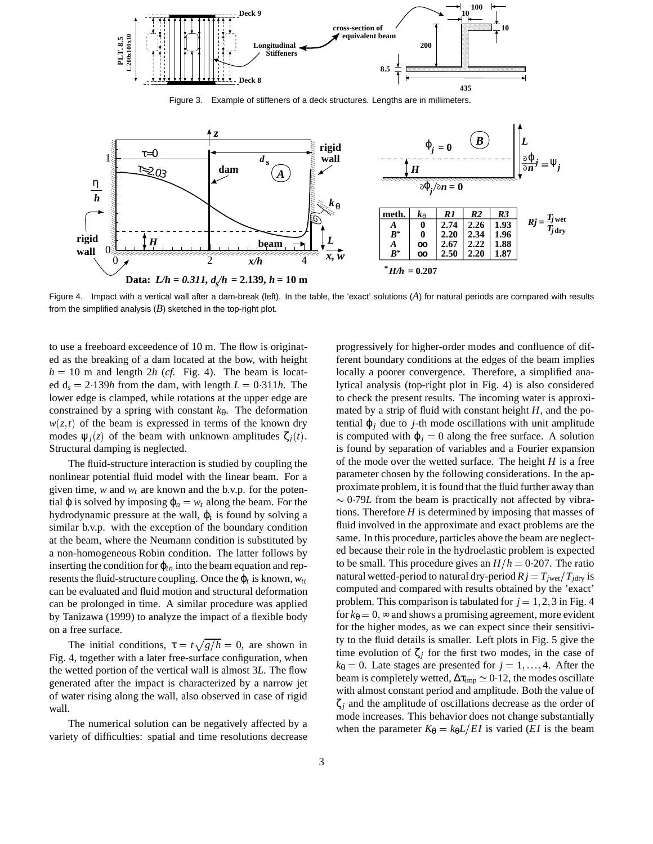

Figure 3. Example of stiffeners of a deck structures. Lengths are in millimeters.



Figure 4. Impact with a vertical wall after a dam-break (left). In the table, the 'exact' solutions (*A*) for natural periods are compared with results from the simplified analysis  $(B)$  sketched in the top-right plot.

to use a freeboard exceedence of 10 m. The flow is originated as the breaking of a dam located at the bow, with height  $h = 10$  m and length 2*h* (*cf.* Fig. 4). The beam is located  $d_s = 2.139h$  from the dam, with length  $L = 0.311h$ . The lower edge is clamped, while rotations at the upper edge are constrained by a spring with constant  $k_{\theta}$ . The deformation  $w(z,t)$  of the beam is expressed in terms of the known dry modes  $\Psi_i(z)$  of the beam with unknown amplitudes  $\zeta_i(t)$ . Structural damping is neglected.

The fluid-structure interaction is studied by coupling the nonlinear potential fluid model with the linear beam. For a given time,  $w$  and  $w_t$  are known and the b.v.p. for the potential  $\varphi$  is solved by imposing  $\varphi_n = w_t$  along the beam. For the hydrodynamic pressure at the wall, ϕ*<sup>t</sup>* is found by solving a similar b.v.p. with the exception of the boundary condition at the beam, where the Neumann condition is substituted by a non-homogeneous Robin condition. The latter follows by inserting the condition for  $\varphi$ <sub>*tn*</sub> into the beam equation and represents the fluid-structure coupling. Once the  $\varphi_t$  is known,  $w_t$ can be evaluated and fluid motion and structural deformation can be prolonged in time. A similar procedure was applied by Tanizawa (1999) to analyze the impact of a flexible body on a free surface.

The initial conditions,  $\tau = t\sqrt{g/h} = 0$ , are shown in Fig. 4, together with a later free-surface configuration, when the wetted portion of the vertical wall is almost 3*L*. The flow generated after the impact is characterized by a narrow jet of water rising along the wall, also observed in case of rigid wall.

The numerical solution can be negatively affected by a variety of difficulties: spatial and time resolutions decrease

progressively for higher-order modes and confluence of different boundary conditions at the edges of the beam implies locally a poorer convergence. Therefore, a simplified analytical analysis (top-right plot in Fig. 4) is also considered to check the present results. The incoming water is approximated by a strip of fluid with constant height *H*, and the potential  $\varphi_i$  due to *j*-th mode oscillations with unit amplitude is computed with  $\varphi_i = 0$  along the free surface. A solution is found by separation of variables and a Fourier expansion of the mode over the wetted surface. The height *H* is a free parameter chosen by the following considerations. In the approximate problem, it is found that the fluid further away than  $\sim$  0.79*L* from the beam is practically not affected by vibrations. Therefore *H* is determined by imposing that masses of fluid involved in the approximate and exact problems are the same. In this procedure, particles above the beam are neglected because their role in the hydroelastic problem is expected to be small. This procedure gives an  $H/h = 0.207$ . The ratio natural wetted-period to natural dry-period  $Rj = T_{\text{jwet}}/T_{\text{jdry}}$  is computed and compared with results obtained by the 'exact' problem. This comparison is tabulated for  $j = 1, 2, 3$  in Fig. 4 for  $k_{\theta} = 0$ ,  $\infty$  and shows a promising agreement, more evident for the higher modes, as we can expect since their sensitivity to the fluid details is smaller. Left plots in Fig. 5 give the time evolution of  $\zeta_i$  for the first two modes, in the case of  $k_{\theta} = 0$ . Late stages are presented for  $j = 1, \ldots, 4$ . After the beam is completely wetted,  $\Delta \tau_{\text{imp}} \simeq 0.12$ , the modes oscillate with almost constant period and amplitude. Both the value of ζ*<sup>j</sup>* and the amplitude of oscillations decrease as the order of mode increases. This behavior does not change substantially when the parameter  $K_{\theta} = k_{\theta}L/EI$  is varied (*EI* is the beam